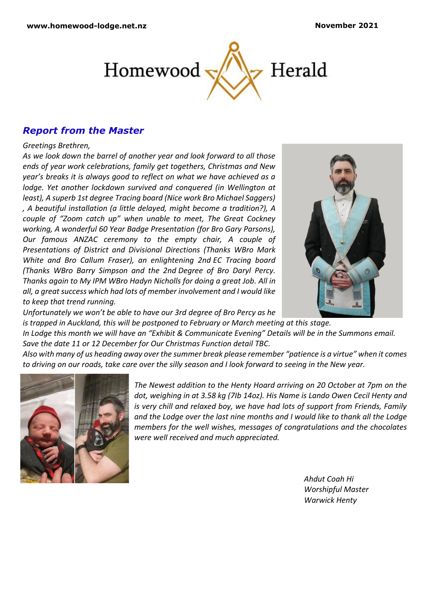

# *Report from the Master*

#### *Greetings Brethren,*

*As we look down the barrel of another year and look forward to all those ends of year work celebrations, family get togethers, Christmas and New year's breaks it is always good to reflect on what we have achieved as a lodge. Yet another lockdown survived and conquered (in Wellington at least), A superb 1st degree Tracing board (Nice work Bro Michael Saggers) , A beautiful installation (a little delayed, might become a tradition?), A couple of "Zoom catch up" when unable to meet, The Great Cockney working, A wonderful 60 Year Badge Presentation (for Bro Gary Parsons), Our famous ANZAC ceremony to the empty chair, A couple of Presentations of District and Divisional Directions (Thanks WBro Mark White and Bro Callum Fraser), an enlightening 2nd EC Tracing board (Thanks WBro Barry Simpson and the 2nd Degree of Bro Daryl Percy. Thanks again to My IPM WBro Hadyn Nicholls for doing a great Job. All in all, a great success which had lots of member involvement and I would like to keep that trend running.*



*Unfortunately we won't be able to have our 3rd degree of Bro Percy as he is trapped in Auckland, this will be postponed to February or March meeting at this stage. In Lodge this month we will have an "Exhibit & Communicate Evening" Details will be in the Summons email. Save the date 11 or 12 December for Our Christmas Function detail TBC.*

*Also with many of us heading away over the summer break please remember "patience is a virtue" when it comes to driving on our roads, take care over the silly season and I look forward to seeing in the New year.* 



*The Newest addition to the Henty Hoard arriving on 20 October at 7pm on the dot, weighing in at 3.58 kg (7Ib 14oz). His Name is Lando Owen Cecil Henty and is very chill and relaxed boy, we have had lots of support from Friends, Family and the Lodge over the last nine months and I would like to thank all the Lodge members for the well wishes, messages of congratulations and the chocolates were well received and much appreciated.*

> *Ahdut Coah Hi Worshipful Master Warwick Henty*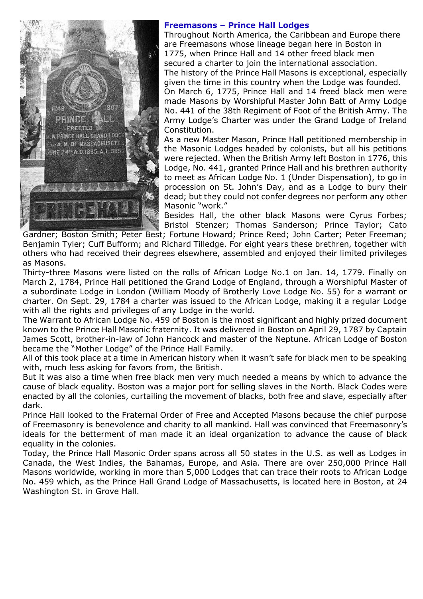

## **Freemasons – Prince Hall Lodges**

Throughout North America, the Caribbean and Europe there are Freemasons whose lineage began here in Boston in 1775, when Prince Hall and 14 other freed black men secured a charter to join the international association. The history of the Prince Hall Masons is exceptional, especially given the time in this country when the Lodge was founded. On March 6, 1775, Prince Hall and 14 freed black men were made Masons by Worshipful Master John Batt of Army Lodge No. 441 of the 38th Regiment of Foot of the British Army. The Army Lodge's Charter was under the Grand Lodge of Ireland Constitution.

As a new Master Mason, Prince Hall petitioned membership in the Masonic Lodges headed by colonists, but all his petitions were rejected. When the British Army left Boston in 1776, this Lodge, No. 441, granted Prince Hall and his brethren authority to meet as African Lodge No. 1 (Under Dispensation), to go in procession on St. John's Day, and as a Lodge to bury their dead; but they could not confer degrees nor perform any other Masonic "work."

Besides Hall, the other black Masons were Cyrus Forbes; Bristol Stenzer; Thomas Sanderson; Prince Taylor; Cato

Gardner; Boston Smith; Peter Best; Fortune Howard; Prince Reed; John Carter; Peter Freeman; Benjamin Tyler; Cuff Bufform; and Richard Tilledge. For eight years these brethren, together with others who had received their degrees elsewhere, assembled and enjoyed their limited privileges as Masons.

Thirty-three Masons were listed on the rolls of African Lodge No.1 on Jan. 14, 1779. Finally on March 2, 1784, Prince Hall petitioned the Grand Lodge of England, through a Worshipful Master of a subordinate Lodge in London (William Moody of Brotherly Love Lodge No. 55) for a warrant or charter. On Sept. 29, 1784 a charter was issued to the African Lodge, making it a regular Lodge with all the rights and privileges of any Lodge in the world.

The Warrant to African Lodge No. 459 of Boston is the most significant and highly prized document known to the Prince Hall Masonic fraternity. It was delivered in Boston on April 29, 1787 by Captain James Scott, brother-in-law of John Hancock and master of the Neptune. African Lodge of Boston became the "Mother Lodge" of the Prince Hall Family.

All of this took place at a time in American history when it wasn't safe for black men to be speaking with, much less asking for favors from, the British.

But it was also a time when free black men very much needed a means by which to advance the cause of black equality. Boston was a major port for selling slaves in the North. Black Codes were enacted by all the colonies, curtailing the movement of blacks, both free and slave, especially after dark.

Prince Hall looked to the Fraternal Order of Free and Accepted Masons because the chief purpose of Freemasonry is benevolence and charity to all mankind. Hall was convinced that Freemasonry's ideals for the betterment of man made it an ideal organization to advance the cause of black equality in the colonies.

Today, the Prince Hall Masonic Order spans across all 50 states in the U.S. as well as Lodges in Canada, the West Indies, the Bahamas, Europe, and Asia. There are over 250,000 Prince Hall Masons worldwide, working in more than 5,000 Lodges that can trace their roots to African Lodge No. 459 which, as the Prince Hall Grand Lodge of Massachusetts, is located here in Boston, at 24 Washington St. in Grove Hall.